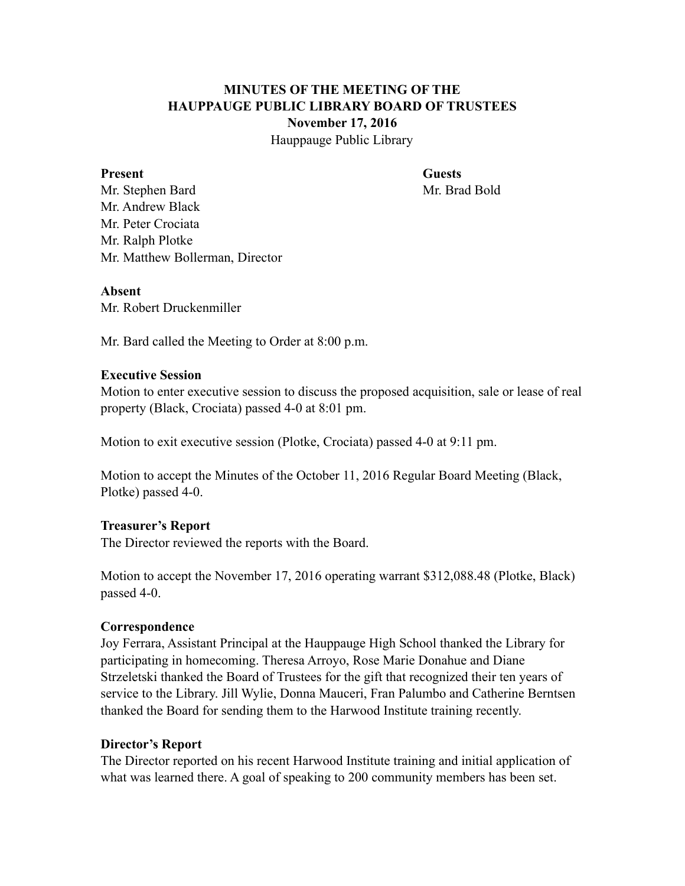## **MINUTES OF THE MEETING OF THE HAUPPAUGE PUBLIC LIBRARY BOARD OF TRUSTEES November 17, 2016** Hauppauge Public Library

**Present Guests** 

Mr. Stephen Bard Mr. Brad Bold Mr. Andrew Black Mr. Peter Crociata Mr. Ralph Plotke Mr. Matthew Bollerman, Director

### **Absent**

Mr. Robert Druckenmiller

Mr. Bard called the Meeting to Order at 8:00 p.m.

### **Executive Session**

Motion to enter executive session to discuss the proposed acquisition, sale or lease of real property (Black, Crociata) passed 4-0 at 8:01 pm.

Motion to exit executive session (Plotke, Crociata) passed 4-0 at 9:11 pm.

Motion to accept the Minutes of the October 11, 2016 Regular Board Meeting (Black, Plotke) passed 4-0.

### **Treasurer's Report**

The Director reviewed the reports with the Board.

Motion to accept the November 17, 2016 operating warrant \$312,088.48 (Plotke, Black) passed 4-0.

### **Correspondence**

Joy Ferrara, Assistant Principal at the Hauppauge High School thanked the Library for participating in homecoming. Theresa Arroyo, Rose Marie Donahue and Diane Strzeletski thanked the Board of Trustees for the gift that recognized their ten years of service to the Library. Jill Wylie, Donna Mauceri, Fran Palumbo and Catherine Berntsen thanked the Board for sending them to the Harwood Institute training recently.

### **Director's Report**

The Director reported on his recent Harwood Institute training and initial application of what was learned there. A goal of speaking to 200 community members has been set.